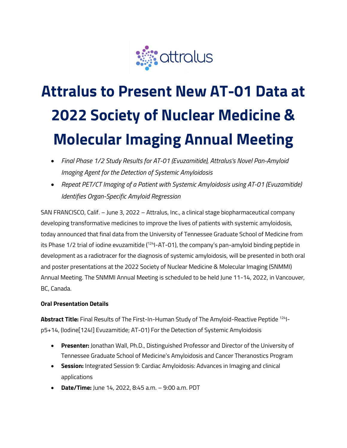

# **Attralus to Present New AT-01 Data at 2022 Society of Nuclear Medicine & Molecular Imaging Annual Meeting**

- *Final Phase 1/2 Study Results for AT-01 (Evuzamitide), Attralus's Novel Pan-Amyloid Imaging Agent for the Detection of Systemic Amyloidosis*
- *Repeat PET/CT Imaging of a Patient with Systemic Amyloidosis using AT-01 (Evuzamitide) Identifies Organ-Specific Amyloid Regression*

SAN FRANCISCO, Calif. – June 3, 2022 – Attralus, Inc., a clinical stage biopharmaceutical company developing transformative medicines to improve the lives of patients with systemic amyloidosis, today announced that final data from the University of Tennessee Graduate School of Medicine from its Phase 1/2 trial of iodine evuzamitide (<sup>124</sup>I-AT-01), the company's pan-amyloid binding peptide in development as a radiotracer for the diagnosis of systemic amyloidosis, will be presented in both oral and poster presentations at the 2022 Society of Nuclear Medicine & Molecular Imaging (SNMMI) Annual Meeting. The SNMMI Annual Meeting is scheduled to be held June 11-14, 2022, in Vancouver, BC, Canada.

## **Oral Presentation Details**

**Abstract Title:** Final Results of The First-In-Human Study of The Amyloid-Reactive Peptide 124Ip5+14, (Iodine[124I] Evuzamitide; AT-01) For the Detection of Systemic Amyloidosis

- **Presenter:** Jonathan Wall, Ph.D., Distinguished Professor and Director of the University of Tennessee Graduate School of Medicine's Amyloidosis and Cancer Theranostics Program
- **Session:** Integrated Session 9: Cardiac Amyloidosis: Advances in Imaging and clinical applications
- **Date/Time:** June 14, 2022, 8:45 a.m. 9:00 a.m. PDT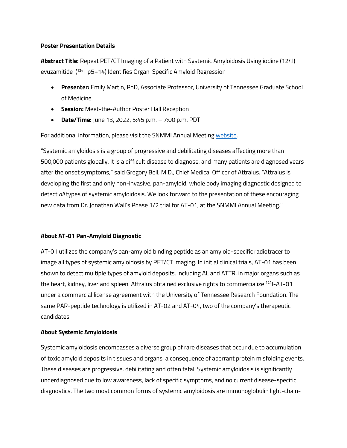#### **Poster Presentation Details**

**Abstract Title:** Repeat PET/CT Imaging of a Patient with Systemic Amyloidosis Using iodine (124I) evuzamitide (124I-p5+14) Identifies Organ-Specific Amyloid Regression

- **Presenter:** Emily Martin, PhD, Associate Professor, University of Tennessee Graduate School of Medicine
- **Session:** Meet-the-Author Poster Hall Reception
- **Date/Time:** June 13, 2022, 5:45 p.m. 7:00 p.m. PDT

For additional information, please visit the SNMMI Annual Meeting [website.](https://am.snmmi.org/iMIS/SNMMI-AM) 

"Systemic amyloidosis is a group of progressive and debilitating diseases affecting more than 500,000 patients globally. It is a difficult disease to diagnose, and many patients are diagnosed years after the onset symptoms," said Gregory Bell, M.D., Chief Medical Officer of Attralus. "Attralus is developing the first and only non-invasive, pan-amyloid, whole body imaging diagnostic designed to detect *all* types of systemic amyloidosis. We look forward to the presentation of these encouraging new data from Dr. Jonathan Wall's Phase 1/2 trial for AT-01, at the SNMMI Annual Meeting."

## **About AT-01 Pan-Amyloid Diagnostic**

AT-01 utilizes the company's pan-amyloid binding peptide as an amyloid-specific radiotracer to image all types of systemic amyloidosis by PET/CT imaging. In initial clinical trials, AT-01 has been shown to detect multiple types of amyloid deposits, including AL and ATTR, in major organs such as the heart, kidney, liver and spleen. Attralus obtained exclusive rights to commercialize <sup>124</sup>I-AT-01 under a commercial license agreement with the University of Tennessee Research Foundation. The same PAR-peptide technology is utilized in AT-02 and AT-04, two of the company's therapeutic candidates.

## **About Systemic Amyloidosis**

Systemic amyloidosis encompasses a diverse group of rare diseases that occur due to accumulation of toxic amyloid deposits in tissues and organs, a consequence of aberrant protein misfolding events. These diseases are progressive, debilitating and often fatal. Systemic amyloidosis is significantly underdiagnosed due to low awareness, lack of specific symptoms, and no current disease-specific diagnostics. The two most common forms of systemic amyloidosis are immunoglobulin light-chain